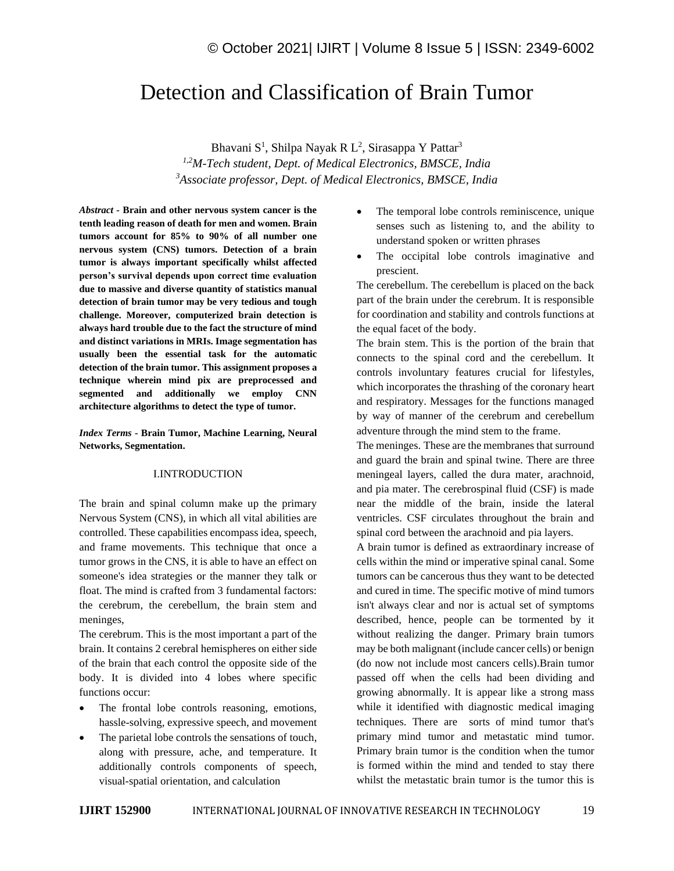# Detection and Classification of Brain Tumor

Bhavani S<sup>1</sup>, Shilpa Nayak R L<sup>2</sup>, Sirasappa Y Pattar<sup>3</sup>

*1,2M-Tech student, Dept. of Medical Electronics, BMSCE, India <sup>3</sup>Associate professor, Dept. of Medical Electronics, BMSCE, India*

*Abstract -* **Brain and other nervous system cancer is the tenth leading reason of death for men and women. Brain tumors account for 85% to 90% of all number one nervous system (CNS) tumors. Detection of a brain tumor is always important specifically whilst affected person's survival depends upon correct time evaluation due to massive and diverse quantity of statistics manual detection of brain tumor may be very tedious and tough challenge. Moreover, computerized brain detection is always hard trouble due to the fact the structure of mind and distinct variations in MRIs. Image segmentation has usually been the essential task for the automatic detection of the brain tumor. This assignment proposes a technique wherein mind pix are preprocessed and segmented and additionally we employ CNN architecture algorithms to detect the type of tumor.**

*Index Terms -* **Brain Tumor, Machine Learning, Neural Networks, Segmentation.**

### I.INTRODUCTION

The brain and spinal column make up the primary Nervous System (CNS), in which all vital abilities are controlled. These capabilities encompass idea, speech, and frame movements. This technique that once a tumor grows in the CNS, it is able to have an effect on someone's idea strategies or the manner they talk or float. The mind is crafted from 3 fundamental factors: the cerebrum, the cerebellum, the brain stem and meninges,

The cerebrum. This is the most important a part of the brain. It contains 2 cerebral hemispheres on either side of the brain that each control the opposite side of the body. It is divided into 4 lobes where specific functions occur:

- The frontal lobe controls reasoning, emotions, hassle-solving, expressive speech, and movement
- The parietal lobe controls the sensations of touch, along with pressure, ache, and temperature. It additionally controls components of speech, visual-spatial orientation, and calculation
- The temporal lobe controls reminiscence, unique senses such as listening to, and the ability to understand spoken or written phrases
- The occipital lobe controls imaginative and prescient.

The cerebellum. The cerebellum is placed on the back part of the brain under the cerebrum. It is responsible for coordination and stability and controls functions at the equal facet of the body.

The brain stem. This is the portion of the brain that connects to the spinal cord and the cerebellum. It controls involuntary features crucial for lifestyles, which incorporates the thrashing of the coronary heart and respiratory. Messages for the functions managed by way of manner of the cerebrum and cerebellum adventure through the mind stem to the frame.

The meninges. These are the membranes that surround and guard the brain and spinal twine. There are three meningeal layers, called the dura mater, arachnoid, and pia mater. The cerebrospinal fluid (CSF) is made near the middle of the brain, inside the lateral ventricles. CSF circulates throughout the brain and spinal cord between the arachnoid and pia layers.

A brain tumor is defined as extraordinary increase of cells within the mind or imperative spinal canal. Some tumors can be cancerous thus they want to be detected and cured in time. The specific motive of mind tumors isn't always clear and nor is actual set of symptoms described, hence, people can be tormented by it without realizing the danger. Primary brain tumors may be both malignant (include cancer cells) or benign (do now not include most cancers cells).Brain tumor passed off when the cells had been dividing and growing abnormally. It is appear like a strong mass while it identified with diagnostic medical imaging techniques. There are sorts of mind tumor that's primary mind tumor and metastatic mind tumor. Primary brain tumor is the condition when the tumor is formed within the mind and tended to stay there whilst the metastatic brain tumor is the tumor this is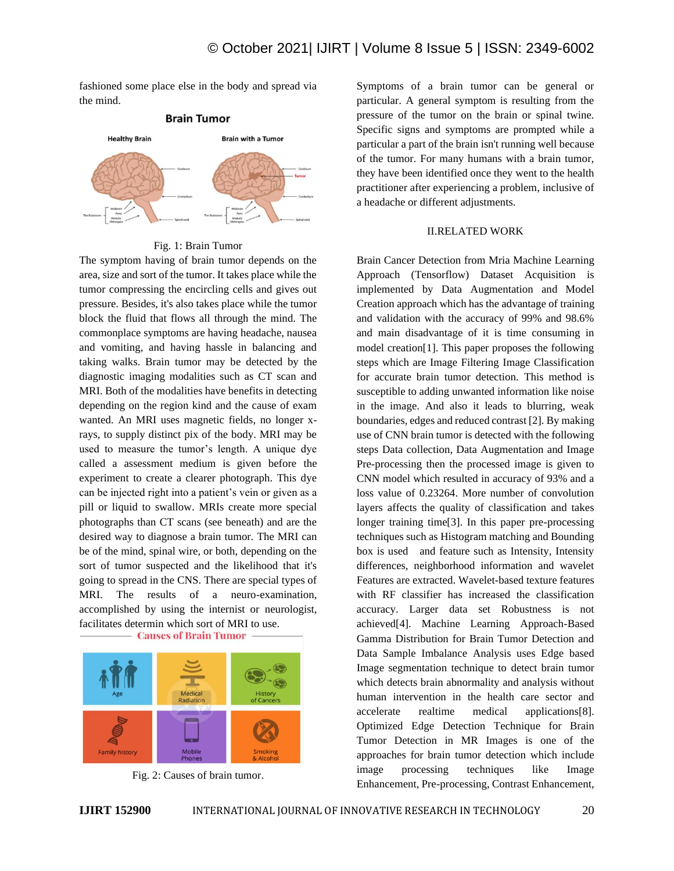fashioned some place else in the body and spread via the mind.



Fig. 1: Brain Tumor

The symptom having of brain tumor depends on the area, size and sort of the tumor. It takes place while the tumor compressing the encircling cells and gives out pressure. Besides, it's also takes place while the tumor block the fluid that flows all through the mind. The commonplace symptoms are having headache, nausea and vomiting, and having hassle in balancing and taking walks. Brain tumor may be detected by the diagnostic imaging modalities such as CT scan and MRI. Both of the modalities have benefits in detecting depending on the region kind and the cause of exam wanted. An MRI uses magnetic fields, no longer xrays, to supply distinct pix of the body. MRI may be used to measure the tumor's length. A unique dye called a assessment medium is given before the experiment to create a clearer photograph. This dye can be injected right into a patient's vein or given as a pill or liquid to swallow. MRIs create more special photographs than CT scans (see beneath) and are the desired way to diagnose a brain tumor. The MRI can be of the mind, spinal wire, or both, depending on the sort of tumor suspected and the likelihood that it's going to spread in the CNS. There are special types of MRI. The results of a neuro-examination, accomplished by using the internist or neurologist, facilitates determin which sort of MRI to use.



Fig. 2: Causes of brain tumor.

Symptoms of a brain tumor can be general or particular. A general symptom is resulting from the pressure of the tumor on the brain or spinal twine. Specific signs and symptoms are prompted while a particular a part of the brain isn't running well because of the tumor. For many humans with a brain tumor, they have been identified once they went to the health practitioner after experiencing a problem, inclusive of a headache or different adjustments.

### II.RELATED WORK

Brain Cancer Detection from Mria Machine Learning Approach (Tensorflow) Dataset Acquisition is implemented by Data Augmentation and Model Creation approach which has the advantage of training and validation with the accuracy of 99% and 98.6% and main disadvantage of it is time consuming in model creation[1]. This paper proposes the following steps which are Image Filtering Image Classification for accurate brain tumor detection. This method is susceptible to adding unwanted information like noise in the image. And also it leads to blurring, weak boundaries, edges and reduced contrast [2]. By making use of CNN brain tumor is detected with the following steps Data collection, Data Augmentation and Image Pre-processing then the processed image is given to CNN model which resulted in accuracy of 93% and a loss value of 0.23264. More number of convolution layers affects the quality of classification and takes longer training time[3]. In this paper pre-processing techniques such as Histogram matching and Bounding box is used and feature such as Intensity, Intensity differences, neighborhood information and wavelet Features are extracted. Wavelet-based texture features with RF classifier has increased the classification accuracy. Larger data set Robustness is not achieved[4]. Machine Learning Approach-Based Gamma Distribution for Brain Tumor Detection and Data Sample Imbalance Analysis uses Edge based Image segmentation technique to detect brain tumor which detects brain abnormality and analysis without human intervention in the health care sector and accelerate realtime medical applications[8]. Optimized Edge Detection Technique for Brain Tumor Detection in MR Images is one of the approaches for brain tumor detection which include image processing techniques like Image Enhancement, Pre-processing, Contrast Enhancement,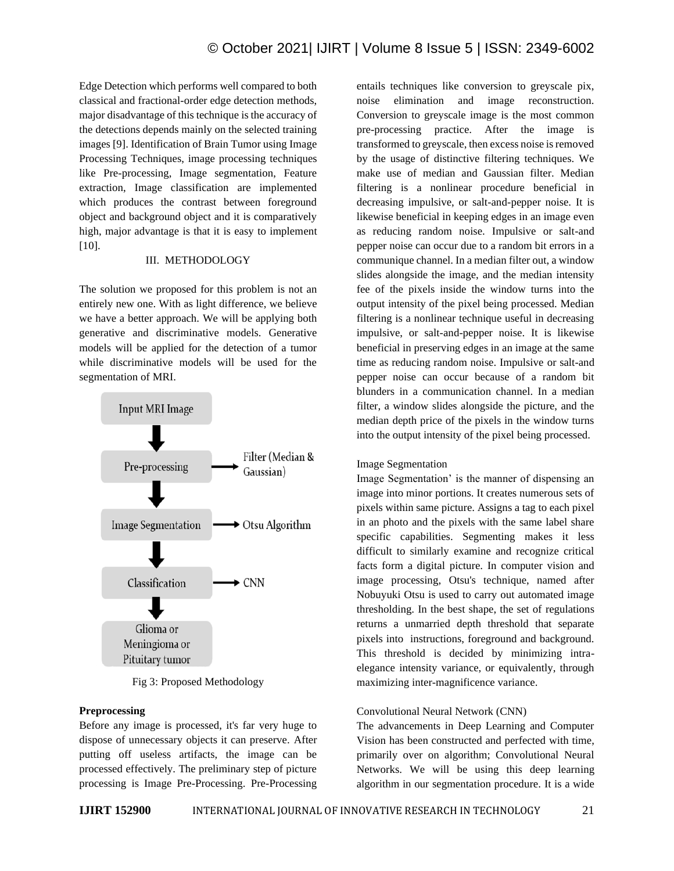Edge Detection which performs well compared to both classical and fractional-order edge detection methods, major disadvantage of this technique is the accuracy of the detections depends mainly on the selected training images [9]. Identification of Brain Tumor using Image Processing Techniques, image processing techniques like Pre-processing, Image segmentation, Feature extraction, Image classification are implemented which produces the contrast between foreground object and background object and it is comparatively high, major advantage is that it is easy to implement [10].

#### III. METHODOLOGY

The solution we proposed for this problem is not an entirely new one. With as light difference, we believe we have a better approach. We will be applying both generative and discriminative models. Generative models will be applied for the detection of a tumor while discriminative models will be used for the segmentation of MRI.



Fig 3: Proposed Methodology

#### **Preprocessing**

Before any image is processed, it's far very huge to dispose of unnecessary objects it can preserve. After putting off useless artifacts, the image can be processed effectively. The preliminary step of picture processing is Image Pre-Processing. Pre-Processing entails techniques like conversion to greyscale pix, noise elimination and image reconstruction. Conversion to greyscale image is the most common pre-processing practice. After the image is transformed to greyscale, then excess noise is removed by the usage of distinctive filtering techniques. We make use of median and Gaussian filter. Median filtering is a nonlinear procedure beneficial in decreasing impulsive, or salt-and-pepper noise. It is likewise beneficial in keeping edges in an image even as reducing random noise. Impulsive or salt-and pepper noise can occur due to a random bit errors in a communique channel. In a median filter out, a window slides alongside the image, and the median intensity fee of the pixels inside the window turns into the output intensity of the pixel being processed. Median filtering is a nonlinear technique useful in decreasing impulsive, or salt-and-pepper noise. It is likewise beneficial in preserving edges in an image at the same time as reducing random noise. Impulsive or salt-and pepper noise can occur because of a random bit blunders in a communication channel. In a median filter, a window slides alongside the picture, and the median depth price of the pixels in the window turns into the output intensity of the pixel being processed.

#### Image Segmentation

Image Segmentation' is the manner of dispensing an image into minor portions. It creates numerous sets of pixels within same picture. Assigns a tag to each pixel in an photo and the pixels with the same label share specific capabilities. Segmenting makes it less difficult to similarly examine and recognize critical facts form a digital picture. In computer vision and image processing, Otsu's technique, named after Nobuyuki Otsu is used to carry out automated image thresholding. In the best shape, the set of regulations returns a unmarried depth threshold that separate pixels into instructions, foreground and background. This threshold is decided by minimizing intraelegance intensity variance, or equivalently, through maximizing inter-magnificence variance.

#### Convolutional Neural Network (CNN)

The advancements in Deep Learning and Computer Vision has been constructed and perfected with time, primarily over on algorithm; Convolutional Neural Networks. We will be using this deep learning algorithm in our segmentation procedure. It is a wide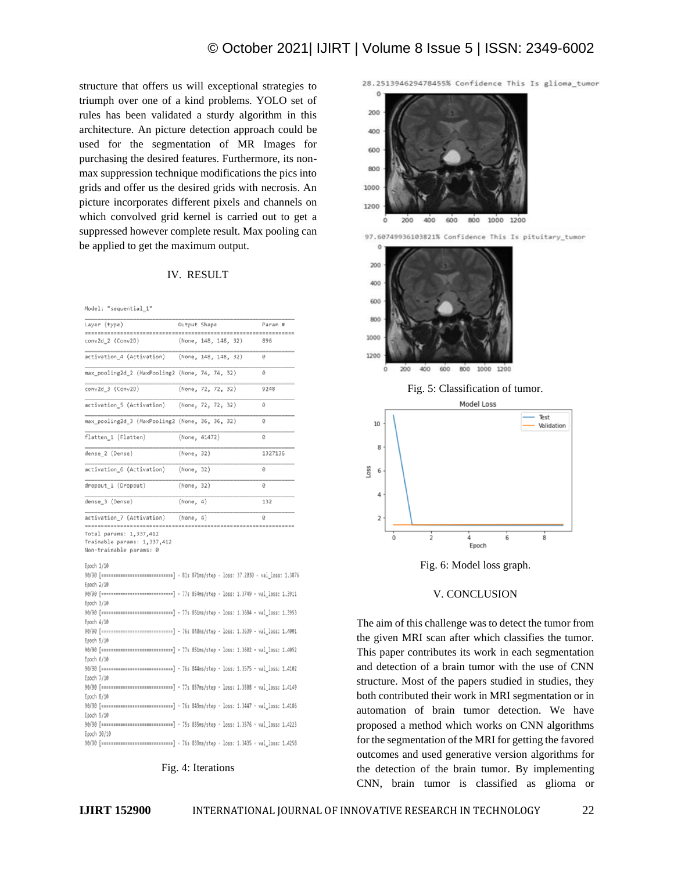structure that offers us will exceptional strategies to triumph over one of a kind problems. YOLO set of rules has been validated a sturdy algorithm in this architecture. An picture detection approach could be used for the segmentation of MR Images for purchasing the desired features. Furthermore, its nonmax suppression technique modifications the pics into grids and offer us the desired grids with necrosis. An picture incorporates different pixels and channels on which convolved grid kernel is carried out to get a suppressed however complete result. Max pooling can be applied to get the maximum output.

#### IV. RESULT

Model: "sequential\_1"

| Layer (type)                                                                                    | Output Shape         | Param # |
|-------------------------------------------------------------------------------------------------|----------------------|---------|
|                                                                                                 |                      |         |
| conv2d_2 (Conv2D)                                                                               | (None, 148, 148, 32) | 896     |
| activation_4 (Activation) (None, 148, 148, 32)                                                  |                      | ø       |
| max_pooling2d_2 (MaxPooling2 (None, 74, 74, 32)                                                 |                      | 0       |
| conv2d_3 (Conv2D)                                                                               | (None, 72, 72, 32)   | 9248    |
| activation_5 (Activation)                                                                       | (None, 72, 72, 32)   | ø       |
| max_pooling2d_3 (MaxPooling2 (None, 36, 36, 32)                                                 |                      | Õ       |
| flatten_1 (Flatten)                                                                             | (None, 41472)        | Θ       |
| dense_2 (Dense)                                                                                 | (None, 32)           | 1327136 |
| activation_6 (Activation)                                                                       | (None, 32)           | Ø       |
| dropout_1 (Dropout)                                                                             | (None, 32)           | Ø       |
| dense_3 (Dense)                                                                                 | (None, 4)            | 132     |
| activation_7 (Activation)                                                                       | (None, 4)            | ø       |
|                                                                                                 |                      |         |
| Total params: 1,337,412                                                                         |                      |         |
| Trainable params: 1,337,412                                                                     |                      |         |
| Non-trainable params: 0                                                                         |                      |         |
|                                                                                                 |                      |         |
| Epoch 1/10                                                                                      |                      |         |
| 90/90 [================================] - 81s 871ms/step - loss: 37.2030 - val loss: 1.387     |                      |         |
| Epoch 2/10                                                                                      |                      |         |
| 90/90 [==============================] - 77s 854ms/step - loss: 1.3749 - val loss: 1.3911       |                      |         |
| Epoch 3/10                                                                                      |                      |         |
|                                                                                                 |                      |         |
| Epoch 4/10                                                                                      |                      |         |
| 90/90 [==============================] - 76s 848ms/step - loss: 1.3639 - val_loss: 1.4001       |                      |         |
| Epoch 5/10                                                                                      |                      |         |
| 90/90 [================================] - 77s 851ms/step - loss: 1.3602 - val_loss: 1.4052     |                      |         |
|                                                                                                 |                      |         |
| Epoch $6/10$                                                                                    |                      |         |
| 90/90 [===============================] - 76s 844ms/step - loss: 1.3575 - val_loss: 1.4102      |                      |         |
| Epoch 7/10                                                                                      |                      |         |
| 90/90 [===============================] - 77s 857ms/step - loss: 1.3508 - val_loss: 1.4149      |                      |         |
| Epoch 8/10                                                                                      |                      |         |
| 90/90 [==============================] - 76s 849ms/step - loss: 1.3447 - val loss: 1.4186       |                      |         |
| Epoch 9/10                                                                                      |                      |         |
| 90/90 [===============================] - 75s 835ms/step - loss: 1.3576 - val_loss: 1.4223      |                      |         |
| Epoch 10/10                                                                                     |                      |         |
| 90/90 [ ================================== ] - 76s 839ms/step - loss: 1.3435 - val_loss: 1.4258 |                      |         |

## Fig. 4: Iterations

28.251394629478455% Confidence This Is glioma\_tumor





Fig. 5: Classification of tumor.



Fig. 6: Model loss graph.

#### V. CONCLUSION

The aim of this challenge was to detect the tumor from the given MRI scan after which classifies the tumor. This paper contributes its work in each segmentation and detection of a brain tumor with the use of CNN structure. Most of the papers studied in studies, they both contributed their work in MRI segmentation or in automation of brain tumor detection. We have proposed a method which works on CNN algorithms for the segmentation of the MRI for getting the favored outcomes and used generative version algorithms for the detection of the brain tumor. By implementing CNN, brain tumor is classified as glioma or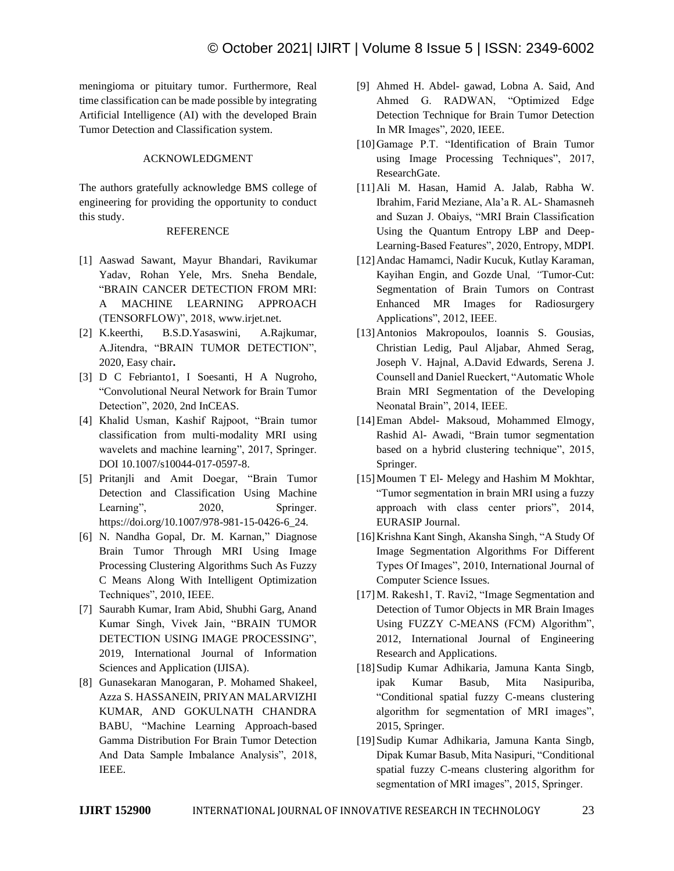meningioma or pituitary tumor. Furthermore, Real time classification can be made possible by integrating Artificial Intelligence (AI) with the developed Brain Tumor Detection and Classification system.

## ACKNOWLEDGMENT

The authors gratefully acknowledge BMS college of engineering for providing the opportunity to conduct this study.

## REFERENCE

- [1] Aaswad Sawant, Mayur Bhandari, Ravikumar Yadav, Rohan Yele, Mrs. Sneha Bendale, "BRAIN CANCER DETECTION FROM MRI: A MACHINE LEARNING APPROACH (TENSORFLOW)", 2018, www.irjet.net.
- [2] K.keerthi, B.S.D.Yasaswini, A.Rajkumar, A.Jitendra, "BRAIN TUMOR DETECTION", 2020, Easy chair**.**
- [3] D C Febrianto1, I Soesanti, H A Nugroho, "Convolutional Neural Network for Brain Tumor Detection", 2020, 2nd InCEAS.
- [4] Khalid Usman, Kashif Rajpoot, "Brain tumor classification from multi-modality MRI using wavelets and machine learning", 2017, Springer. DOI 10.1007/s10044-017-0597-8.
- [5] Pritanjli and Amit Doegar, "Brain Tumor Detection and Classification Using Machine Learning", 2020, Springer. https://doi.org/10.1007/978-981-15-0426-6\_24.
- [6] N. Nandha Gopal, Dr. M. Karnan," Diagnose Brain Tumor Through MRI Using Image Processing Clustering Algorithms Such As Fuzzy C Means Along With Intelligent Optimization Techniques", 2010, IEEE.
- [7] Saurabh Kumar, Iram Abid, Shubhi Garg, Anand Kumar Singh, Vivek Jain, "BRAIN TUMOR DETECTION USING IMAGE PROCESSING", 2019, International Journal of Information Sciences and Application (IJISA).
- [8] Gunasekaran Manogaran, P. Mohamed Shakeel, Azza S. HASSANEIN, PRIYAN MALARVIZHI KUMAR, AND GOKULNATH CHANDRA BABU, "Machine Learning Approach-based Gamma Distribution For Brain Tumor Detection And Data Sample Imbalance Analysis", 2018, IEEE.
- [9] Ahmed H. Abdel- gawad, Lobna A. Said, And Ahmed G. RADWAN, "Optimized Edge Detection Technique for Brain Tumor Detection In MR Images", 2020, IEEE.
- [10]Gamage P.T. "Identification of Brain Tumor using Image Processing Techniques", 2017, ResearchGate.
- [11]Ali M. Hasan, Hamid A. Jalab, Rabha W. Ibrahim, Farid Meziane, Ala'a R. AL- Shamasneh and Suzan J. Obaiys, "MRI Brain Classification Using the Quantum Entropy LBP and Deep-Learning-Based Features", 2020, Entropy, MDPI.
- [12]Andac Hamamci, Nadir Kucuk, Kutlay Karaman, Kayihan Engin, and Gozde Unal*, "*Tumor-Cut: Segmentation of Brain Tumors on Contrast Enhanced MR Images for Radiosurgery Applications", 2012, IEEE.
- [13]Antonios Makropoulos, Ioannis S. Gousias, Christian Ledig, Paul Aljabar, Ahmed Serag, Joseph V. Hajnal, A.David Edwards, Serena J. Counsell and Daniel Rueckert, "Automatic Whole Brain MRI Segmentation of the Developing Neonatal Brain", 2014, IEEE.
- [14]Eman Abdel- Maksoud, Mohammed Elmogy, Rashid Al- Awadi, "Brain tumor segmentation based on a hybrid clustering technique", 2015, Springer.
- [15] Moumen T El- Melegy and Hashim M Mokhtar, "Tumor segmentation in brain MRI using a fuzzy approach with class center priors", 2014, EURASIP Journal.
- [16]Krishna Kant Singh, Akansha Singh, "A Study Of Image Segmentation Algorithms For Different Types Of Images", 2010, International Journal of Computer Science Issues.
- [17]M. Rakesh1, T. Ravi2, "Image Segmentation and Detection of Tumor Objects in MR Brain Images Using FUZZY C-MEANS (FCM) Algorithm", 2012, International Journal of Engineering Research and Applications.
- [18]Sudip Kumar Adhikaria, Jamuna Kanta Singb, ipak Kumar Basub, Mita Nasipuriba, "Conditional spatial fuzzy C-means clustering algorithm for segmentation of MRI images", 2015, Springer.
- [19]Sudip Kumar Adhikaria, Jamuna Kanta Singb, Dipak Kumar Basub, Mita Nasipuri, "Conditional spatial fuzzy C-means clustering algorithm for segmentation of MRI images", 2015, Springer.